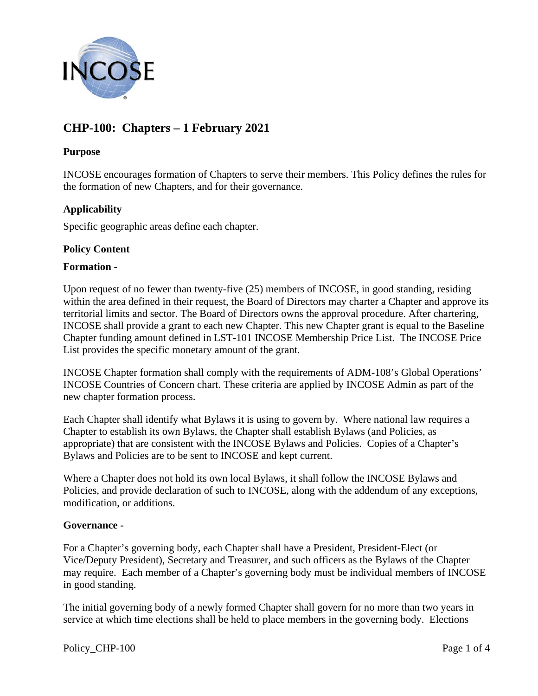

# **CHP-100: Chapters – 1 February 2021**

## **Purpose**

INCOSE encourages formation of Chapters to serve their members. This Policy defines the rules for the formation of new Chapters, and for their governance.

# **Applicability**

Specific geographic areas define each chapter.

## **Policy Content**

### **Formation -**

Upon request of no fewer than twenty-five (25) members of INCOSE, in good standing, residing within the area defined in their request, the Board of Directors may charter a Chapter and approve its territorial limits and sector. The Board of Directors owns the approval procedure. After chartering, INCOSE shall provide a grant to each new Chapter. This new Chapter grant is equal to the Baseline Chapter funding amount defined in LST-101 INCOSE Membership Price List. The INCOSE Price List provides the specific monetary amount of the grant.

INCOSE Chapter formation shall comply with the requirements of ADM-108's Global Operations' INCOSE Countries of Concern chart. These criteria are applied by INCOSE Admin as part of the new chapter formation process.

Each Chapter shall identify what Bylaws it is using to govern by. Where national law requires a Chapter to establish its own Bylaws, the Chapter shall establish Bylaws (and Policies, as appropriate) that are consistent with the INCOSE Bylaws and Policies. Copies of a Chapter's Bylaws and Policies are to be sent to INCOSE and kept current.

Where a Chapter does not hold its own local Bylaws, it shall follow the INCOSE Bylaws and Policies, and provide declaration of such to INCOSE, along with the addendum of any exceptions, modification, or additions.

## **Governance -**

For a Chapter's governing body, each Chapter shall have a President, President-Elect (or Vice/Deputy President), Secretary and Treasurer, and such officers as the Bylaws of the Chapter may require. Each member of a Chapter's governing body must be individual members of INCOSE in good standing.

The initial governing body of a newly formed Chapter shall govern for no more than two years in service at which time elections shall be held to place members in the governing body. Elections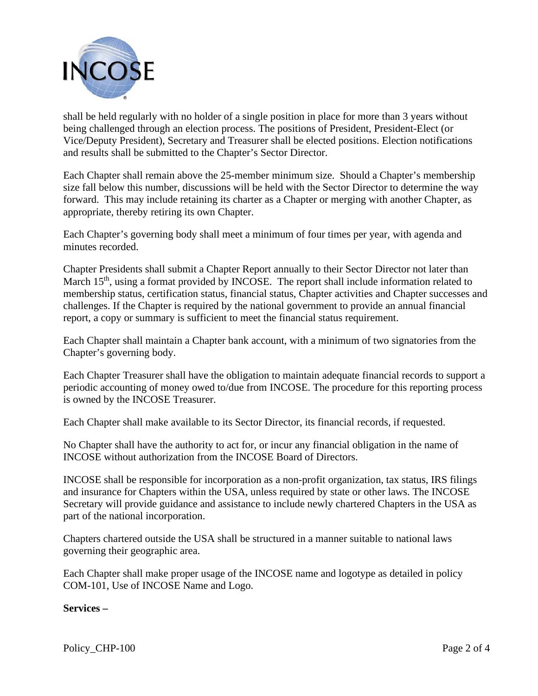

shall be held regularly with no holder of a single position in place for more than 3 years without being challenged through an election process. The positions of President, President-Elect (or Vice/Deputy President), Secretary and Treasurer shall be elected positions. Election notifications and results shall be submitted to the Chapter's Sector Director.

Each Chapter shall remain above the 25-member minimum size. Should a Chapter's membership size fall below this number, discussions will be held with the Sector Director to determine the way forward. This may include retaining its charter as a Chapter or merging with another Chapter, as appropriate, thereby retiring its own Chapter.

Each Chapter's governing body shall meet a minimum of four times per year, with agenda and minutes recorded.

Chapter Presidents shall submit a Chapter Report annually to their Sector Director not later than March 15<sup>th</sup>, using a format provided by INCOSE. The report shall include information related to membership status, certification status, financial status, Chapter activities and Chapter successes and challenges. If the Chapter is required by the national government to provide an annual financial report, a copy or summary is sufficient to meet the financial status requirement.

Each Chapter shall maintain a Chapter bank account, with a minimum of two signatories from the Chapter's governing body.

Each Chapter Treasurer shall have the obligation to maintain adequate financial records to support a periodic accounting of money owed to/due from INCOSE. The procedure for this reporting process is owned by the INCOSE Treasurer.

Each Chapter shall make available to its Sector Director, its financial records, if requested.

No Chapter shall have the authority to act for, or incur any financial obligation in the name of INCOSE without authorization from the INCOSE Board of Directors.

INCOSE shall be responsible for incorporation as a non-profit organization, tax status, IRS filings and insurance for Chapters within the USA, unless required by state or other laws. The INCOSE Secretary will provide guidance and assistance to include newly chartered Chapters in the USA as part of the national incorporation.

Chapters chartered outside the USA shall be structured in a manner suitable to national laws governing their geographic area.

Each Chapter shall make proper usage of the INCOSE name and logotype as detailed in policy COM-101, Use of INCOSE Name and Logo.

## **Services –**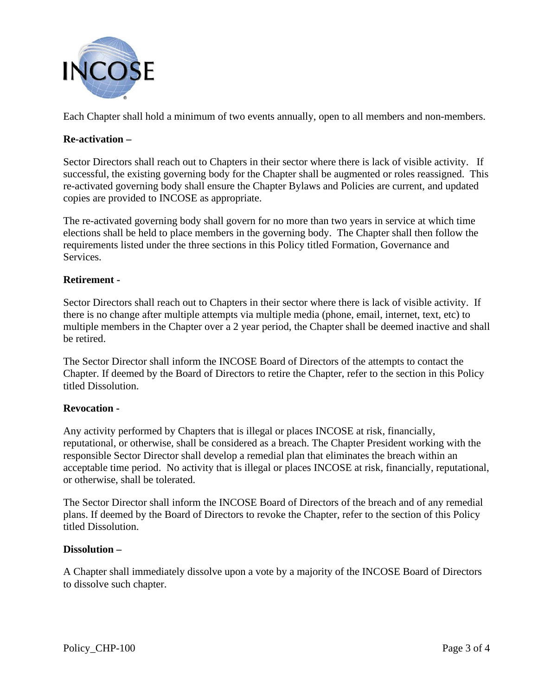

Each Chapter shall hold a minimum of two events annually, open to all members and non-members.

# **Re-activation –**

Sector Directors shall reach out to Chapters in their sector where there is lack of visible activity. If successful, the existing governing body for the Chapter shall be augmented or roles reassigned. This re-activated governing body shall ensure the Chapter Bylaws and Policies are current, and updated copies are provided to INCOSE as appropriate.

The re-activated governing body shall govern for no more than two years in service at which time elections shall be held to place members in the governing body. The Chapter shall then follow the requirements listed under the three sections in this Policy titled Formation, Governance and Services.

## **Retirement -**

Sector Directors shall reach out to Chapters in their sector where there is lack of visible activity. If there is no change after multiple attempts via multiple media (phone, email, internet, text, etc) to multiple members in the Chapter over a 2 year period, the Chapter shall be deemed inactive and shall be retired.

The Sector Director shall inform the INCOSE Board of Directors of the attempts to contact the Chapter. If deemed by the Board of Directors to retire the Chapter, refer to the section in this Policy titled Dissolution.

## **Revocation -**

Any activity performed by Chapters that is illegal or places INCOSE at risk, financially, reputational, or otherwise, shall be considered as a breach. The Chapter President working with the responsible Sector Director shall develop a remedial plan that eliminates the breach within an acceptable time period. No activity that is illegal or places INCOSE at risk, financially, reputational, or otherwise, shall be tolerated.

The Sector Director shall inform the INCOSE Board of Directors of the breach and of any remedial plans. If deemed by the Board of Directors to revoke the Chapter, refer to the section of this Policy titled Dissolution.

#### **Dissolution –**

A Chapter shall immediately dissolve upon a vote by a majority of the INCOSE Board of Directors to dissolve such chapter.